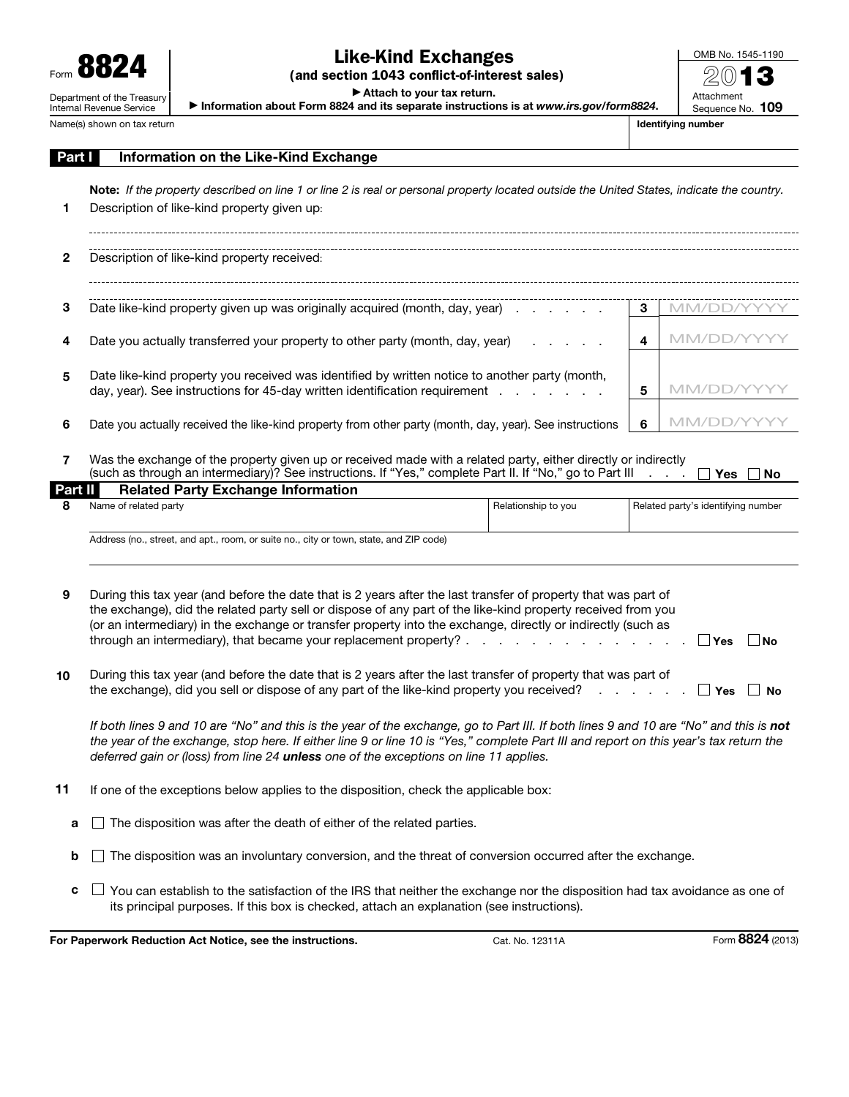

## Like-Kind Exchanges

(and section 1043 conflict-of-interest sales)

▶ Attach to your tax return.

▶ Information about Form 8824 and its separate instructions is at *www.irs.gov/form8824*.

| OMB No. 1545-1190 |  |  |
|-------------------|--|--|
| 2013              |  |  |
|                   |  |  |
| Attachment        |  |  |
| Sequence No. 109  |  |  |

Name(s) shown on tax return **Identifying number** Identifying number

| Part I  | Information on the Like-Kind Exchange                                                                                                                                                                                                                                                                                                                                                                                                                                                                                                   |   |                                       |  |  |  |  |  |
|---------|-----------------------------------------------------------------------------------------------------------------------------------------------------------------------------------------------------------------------------------------------------------------------------------------------------------------------------------------------------------------------------------------------------------------------------------------------------------------------------------------------------------------------------------------|---|---------------------------------------|--|--|--|--|--|
| 1       | Note: If the property described on line 1 or line 2 is real or personal property located outside the United States, indicate the country.<br>Description of like-kind property given up:                                                                                                                                                                                                                                                                                                                                                |   |                                       |  |  |  |  |  |
| 2       | Description of like-kind property received:                                                                                                                                                                                                                                                                                                                                                                                                                                                                                             |   |                                       |  |  |  |  |  |
| З       | Date like-kind property given up was originally acquired (month, day, year)                                                                                                                                                                                                                                                                                                                                                                                                                                                             | 3 | MM/DD/Y                               |  |  |  |  |  |
| 4       | Date you actually transferred your property to other party (month, day, year)                                                                                                                                                                                                                                                                                                                                                                                                                                                           | 4 | MM/DD/YY                              |  |  |  |  |  |
| 5       | Date like-kind property you received was identified by written notice to another party (month,<br>day, year). See instructions for 45-day written identification requirement                                                                                                                                                                                                                                                                                                                                                            | 5 | MM/DD/YY                              |  |  |  |  |  |
| 6       | Date you actually received the like-kind property from other party (month, day, year). See instructions                                                                                                                                                                                                                                                                                                                                                                                                                                 | 6 | MM/DD/YYY                             |  |  |  |  |  |
| 7       | Was the exchange of the property given up or received made with a related party, either directly or indirectly<br>(such as through an intermediary)? See instructions. If "Yes," complete Part II. If "No," go to Part III                                                                                                                                                                                                                                                                                                              |   | <b>Contract Contract</b><br>Yes<br>No |  |  |  |  |  |
| Part II | <b>Related Party Exchange Information</b>                                                                                                                                                                                                                                                                                                                                                                                                                                                                                               |   |                                       |  |  |  |  |  |
| 8       | Name of related party<br>Relationship to you                                                                                                                                                                                                                                                                                                                                                                                                                                                                                            |   | Related party's identifying number    |  |  |  |  |  |
|         | Address (no., street, and apt., room, or suite no., city or town, state, and ZIP code)                                                                                                                                                                                                                                                                                                                                                                                                                                                  |   |                                       |  |  |  |  |  |
| 9       | During this tax year (and before the date that is 2 years after the last transfer of property that was part of<br>the exchange), did the related party sell or dispose of any part of the like-kind property received from you<br>(or an intermediary) in the exchange or transfer property into the exchange, directly or indirectly (such as<br>through an intermediary), that became your replacement property? .<br>the contract of the contract of the contract of the contract of the contract of the contract of the contract of |   | ∣ ∣Yes<br>∣No                         |  |  |  |  |  |
| 10      | During this tax year (and before the date that is 2 years after the last transfer of property that was part of<br>the exchange), did you sell or dispose of any part of the like-kind property you received?                                                                                                                                                                                                                                                                                                                            |   | $\Box$ Yes<br>$\mathsf{I}$ No         |  |  |  |  |  |
|         | If both lines 9 and 10 are "No" and this is the year of the exchange, go to Part III. If both lines 9 and 10 are "No" and this is not<br>the year of the exchange, stop here. If either line 9 or line 10 is "Yes," complete Part III and report on this year's tax return the<br>deferred gain or (loss) from line 24 unless one of the exceptions on line 11 applies.                                                                                                                                                                 |   |                                       |  |  |  |  |  |
| 11      | If one of the exceptions below applies to the disposition, check the applicable box:                                                                                                                                                                                                                                                                                                                                                                                                                                                    |   |                                       |  |  |  |  |  |
| а       | The disposition was after the death of either of the related parties.                                                                                                                                                                                                                                                                                                                                                                                                                                                                   |   |                                       |  |  |  |  |  |
| b       | The disposition was an involuntary conversion, and the threat of conversion occurred after the exchange.                                                                                                                                                                                                                                                                                                                                                                                                                                |   |                                       |  |  |  |  |  |

 $\,c\,\,\Box$  You can establish to the satisfaction of the IRS that neither the exchange nor the disposition had tax avoidance as one of its principal purposes. If this box is checked, attach an explanation (see instructions).

For Paperwork Reduction Act Notice, see the instructions. Cat. No. 12311A Form 8824 (2013)